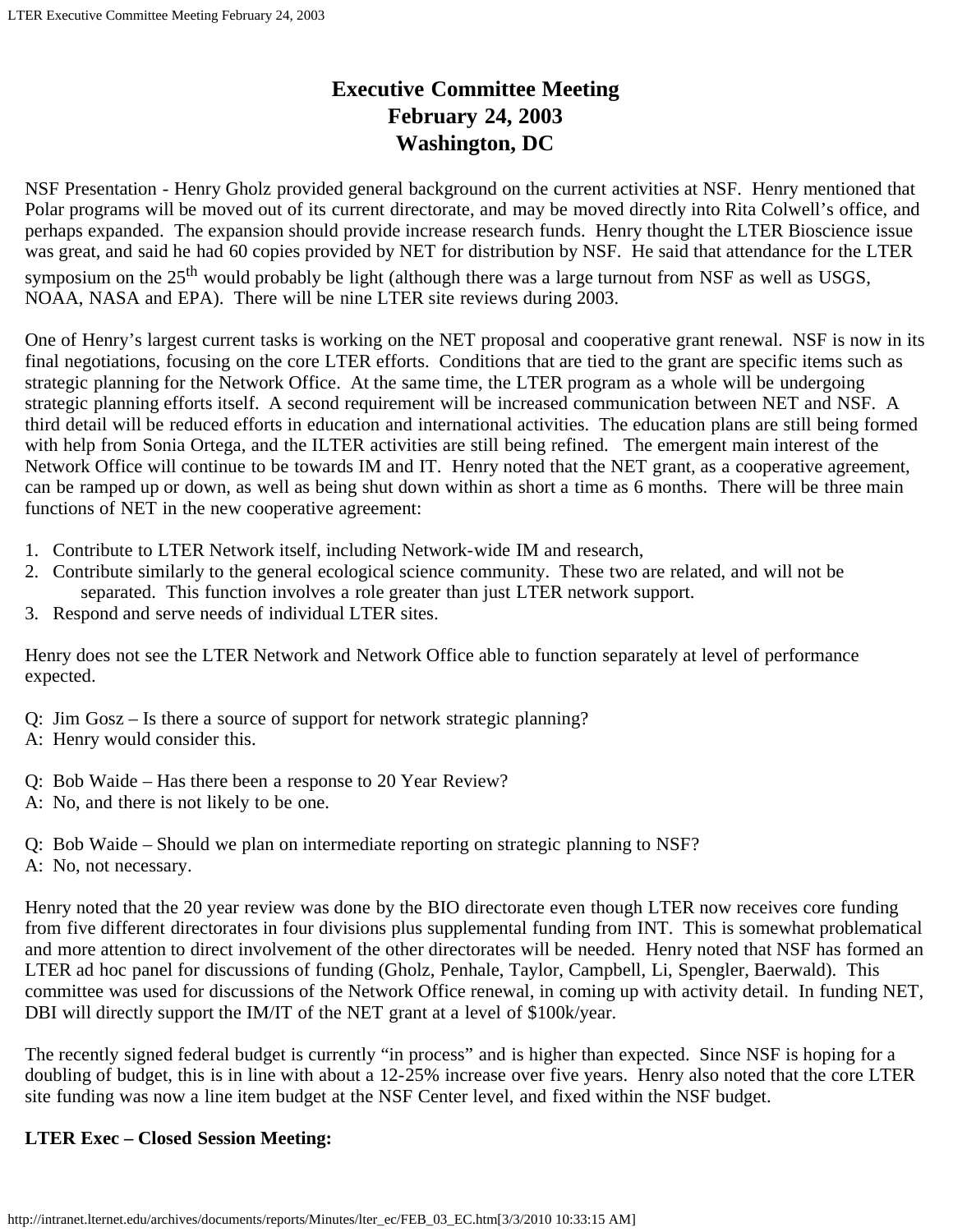# **Executive Committee Meeting February 24, 2003 Washington, DC**

NSF Presentation - Henry Gholz provided general background on the current activities at NSF. Henry mentioned that Polar programs will be moved out of its current directorate, and may be moved directly into Rita Colwell's office, and perhaps expanded. The expansion should provide increase research funds. Henry thought the LTER Bioscience issue was great, and said he had 60 copies provided by NET for distribution by NSF. He said that attendance for the LTER symposium on the  $25<sup>th</sup>$  would probably be light (although there was a large turnout from NSF as well as USGS, NOAA, NASA and EPA). There will be nine LTER site reviews during 2003.

One of Henry's largest current tasks is working on the NET proposal and cooperative grant renewal. NSF is now in its final negotiations, focusing on the core LTER efforts. Conditions that are tied to the grant are specific items such as strategic planning for the Network Office. At the same time, the LTER program as a whole will be undergoing strategic planning efforts itself. A second requirement will be increased communication between NET and NSF. A third detail will be reduced efforts in education and international activities. The education plans are still being formed with help from Sonia Ortega, and the ILTER activities are still being refined. The emergent main interest of the Network Office will continue to be towards IM and IT. Henry noted that the NET grant, as a cooperative agreement, can be ramped up or down, as well as being shut down within as short a time as 6 months. There will be three main functions of NET in the new cooperative agreement:

- 1. Contribute to LTER Network itself, including Network-wide IM and research,
- 2. Contribute similarly to the general ecological science community. These two are related, and will not be separated. This function involves a role greater than just LTER network support.
- 3. Respond and serve needs of individual LTER sites.

Henry does not see the LTER Network and Network Office able to function separately at level of performance expected.

- Q: Jim Gosz Is there a source of support for network strategic planning?
- A: Henry would consider this.
- Q: Bob Waide Has there been a response to 20 Year Review?
- A: No, and there is not likely to be one.
- Q: Bob Waide Should we plan on intermediate reporting on strategic planning to NSF?
- A: No, not necessary.

Henry noted that the 20 year review was done by the BIO directorate even though LTER now receives core funding from five different directorates in four divisions plus supplemental funding from INT. This is somewhat problematical and more attention to direct involvement of the other directorates will be needed. Henry noted that NSF has formed an LTER ad hoc panel for discussions of funding (Gholz, Penhale, Taylor, Campbell, Li, Spengler, Baerwald). This committee was used for discussions of the Network Office renewal, in coming up with activity detail. In funding NET, DBI will directly support the IM/IT of the NET grant at a level of \$100k/year.

The recently signed federal budget is currently "in process" and is higher than expected. Since NSF is hoping for a doubling of budget, this is in line with about a 12-25% increase over five years. Henry also noted that the core LTER site funding was now a line item budget at the NSF Center level, and fixed within the NSF budget.

## **LTER Exec – Closed Session Meeting:**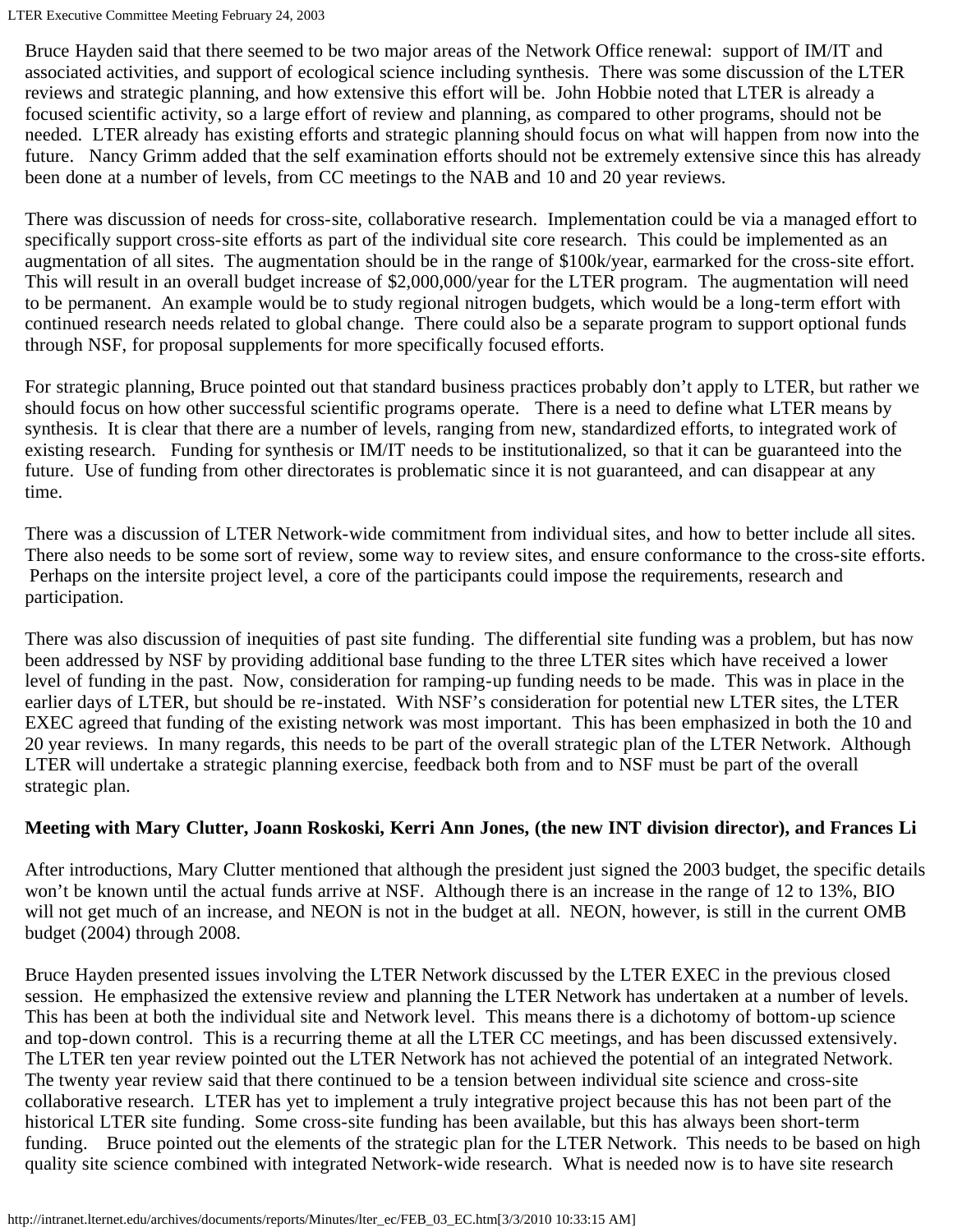LTER Executive Committee Meeting February 24, 2003

Bruce Hayden said that there seemed to be two major areas of the Network Office renewal: support of IM/IT and associated activities, and support of ecological science including synthesis. There was some discussion of the LTER reviews and strategic planning, and how extensive this effort will be. John Hobbie noted that LTER is already a focused scientific activity, so a large effort of review and planning, as compared to other programs, should not be needed. LTER already has existing efforts and strategic planning should focus on what will happen from now into the future. Nancy Grimm added that the self examination efforts should not be extremely extensive since this has already been done at a number of levels, from CC meetings to the NAB and 10 and 20 year reviews.

There was discussion of needs for cross-site, collaborative research. Implementation could be via a managed effort to specifically support cross-site efforts as part of the individual site core research. This could be implemented as an augmentation of all sites. The augmentation should be in the range of \$100k/year, earmarked for the cross-site effort. This will result in an overall budget increase of \$2,000,000/year for the LTER program. The augmentation will need to be permanent. An example would be to study regional nitrogen budgets, which would be a long-term effort with continued research needs related to global change. There could also be a separate program to support optional funds through NSF, for proposal supplements for more specifically focused efforts.

For strategic planning, Bruce pointed out that standard business practices probably don't apply to LTER, but rather we should focus on how other successful scientific programs operate. There is a need to define what LTER means by synthesis. It is clear that there are a number of levels, ranging from new, standardized efforts, to integrated work of existing research. Funding for synthesis or IM/IT needs to be institutionalized, so that it can be guaranteed into the future. Use of funding from other directorates is problematic since it is not guaranteed, and can disappear at any time.

There was a discussion of LTER Network-wide commitment from individual sites, and how to better include all sites. There also needs to be some sort of review, some way to review sites, and ensure conformance to the cross-site efforts. Perhaps on the intersite project level, a core of the participants could impose the requirements, research and participation.

There was also discussion of inequities of past site funding. The differential site funding was a problem, but has now been addressed by NSF by providing additional base funding to the three LTER sites which have received a lower level of funding in the past. Now, consideration for ramping-up funding needs to be made. This was in place in the earlier days of LTER, but should be re-instated. With NSF's consideration for potential new LTER sites, the LTER EXEC agreed that funding of the existing network was most important. This has been emphasized in both the 10 and 20 year reviews. In many regards, this needs to be part of the overall strategic plan of the LTER Network. Although LTER will undertake a strategic planning exercise, feedback both from and to NSF must be part of the overall strategic plan.

## **Meeting with Mary Clutter, Joann Roskoski, Kerri Ann Jones, (the new INT division director), and Frances Li**

After introductions, Mary Clutter mentioned that although the president just signed the 2003 budget, the specific details won't be known until the actual funds arrive at NSF. Although there is an increase in the range of 12 to 13%, BIO will not get much of an increase, and NEON is not in the budget at all. NEON, however, is still in the current OMB budget (2004) through 2008.

Bruce Hayden presented issues involving the LTER Network discussed by the LTER EXEC in the previous closed session. He emphasized the extensive review and planning the LTER Network has undertaken at a number of levels. This has been at both the individual site and Network level. This means there is a dichotomy of bottom-up science and top-down control. This is a recurring theme at all the LTER CC meetings, and has been discussed extensively. The LTER ten year review pointed out the LTER Network has not achieved the potential of an integrated Network. The twenty year review said that there continued to be a tension between individual site science and cross-site collaborative research. LTER has yet to implement a truly integrative project because this has not been part of the historical LTER site funding. Some cross-site funding has been available, but this has always been short-term funding. Bruce pointed out the elements of the strategic plan for the LTER Network. This needs to be based on high quality site science combined with integrated Network-wide research. What is needed now is to have site research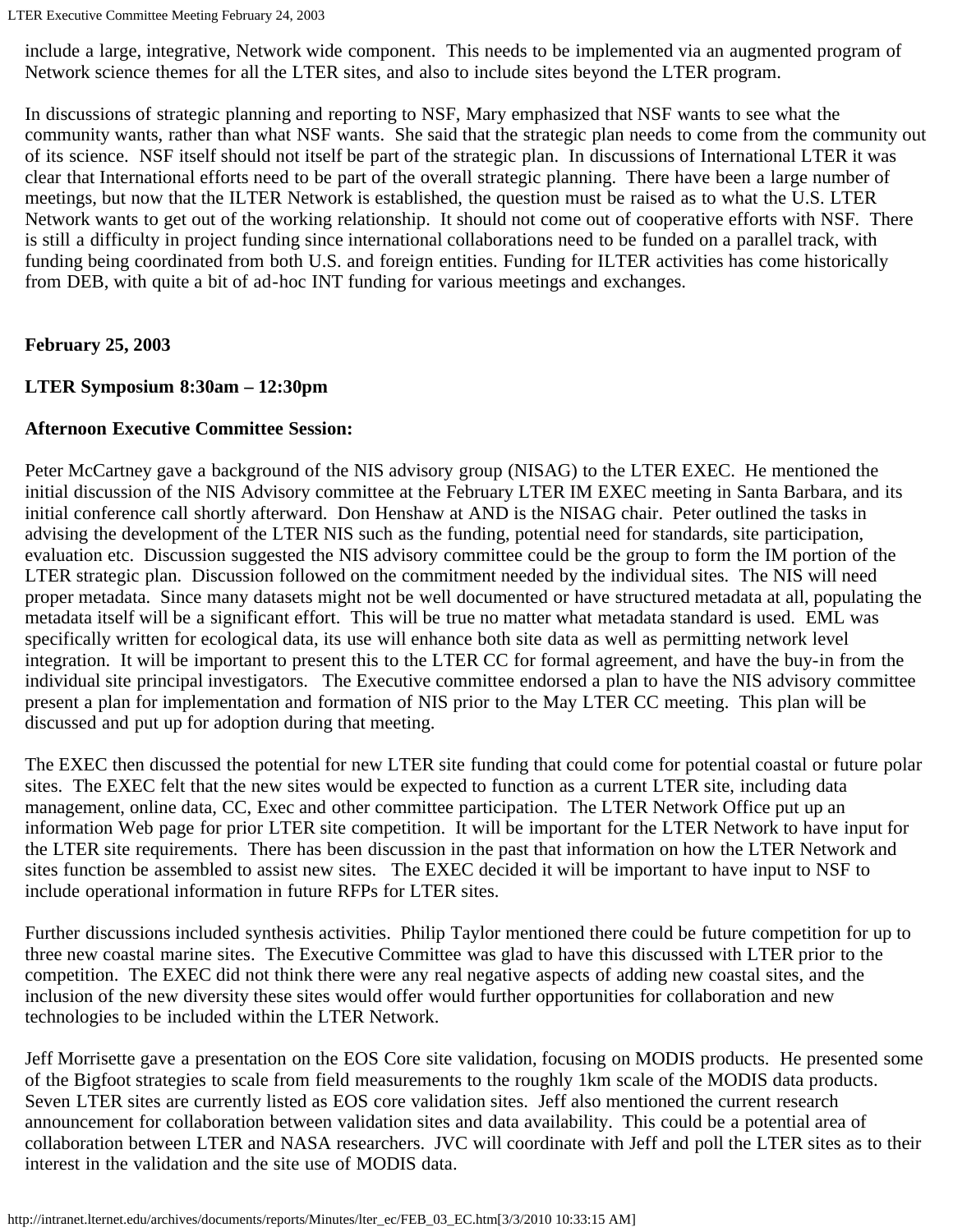LTER Executive Committee Meeting February 24, 2003

include a large, integrative, Network wide component. This needs to be implemented via an augmented program of Network science themes for all the LTER sites, and also to include sites beyond the LTER program.

In discussions of strategic planning and reporting to NSF, Mary emphasized that NSF wants to see what the community wants, rather than what NSF wants. She said that the strategic plan needs to come from the community out of its science. NSF itself should not itself be part of the strategic plan. In discussions of International LTER it was clear that International efforts need to be part of the overall strategic planning. There have been a large number of meetings, but now that the ILTER Network is established, the question must be raised as to what the U.S. LTER Network wants to get out of the working relationship. It should not come out of cooperative efforts with NSF. There is still a difficulty in project funding since international collaborations need to be funded on a parallel track, with funding being coordinated from both U.S. and foreign entities. Funding for ILTER activities has come historically from DEB, with quite a bit of ad-hoc INT funding for various meetings and exchanges.

## **February 25, 2003**

## **LTER Symposium 8:30am – 12:30pm**

## **Afternoon Executive Committee Session:**

Peter McCartney gave a background of the NIS advisory group (NISAG) to the LTER EXEC. He mentioned the initial discussion of the NIS Advisory committee at the February LTER IM EXEC meeting in Santa Barbara, and its initial conference call shortly afterward. Don Henshaw at AND is the NISAG chair. Peter outlined the tasks in advising the development of the LTER NIS such as the funding, potential need for standards, site participation, evaluation etc. Discussion suggested the NIS advisory committee could be the group to form the IM portion of the LTER strategic plan. Discussion followed on the commitment needed by the individual sites. The NIS will need proper metadata. Since many datasets might not be well documented or have structured metadata at all, populating the metadata itself will be a significant effort. This will be true no matter what metadata standard is used. EML was specifically written for ecological data, its use will enhance both site data as well as permitting network level integration. It will be important to present this to the LTER CC for formal agreement, and have the buy-in from the individual site principal investigators. The Executive committee endorsed a plan to have the NIS advisory committee present a plan for implementation and formation of NIS prior to the May LTER CC meeting. This plan will be discussed and put up for adoption during that meeting.

The EXEC then discussed the potential for new LTER site funding that could come for potential coastal or future polar sites. The EXEC felt that the new sites would be expected to function as a current LTER site, including data management, online data, CC, Exec and other committee participation. The LTER Network Office put up an information Web page for prior LTER site competition. It will be important for the LTER Network to have input for the LTER site requirements. There has been discussion in the past that information on how the LTER Network and sites function be assembled to assist new sites. The EXEC decided it will be important to have input to NSF to include operational information in future RFPs for LTER sites.

Further discussions included synthesis activities. Philip Taylor mentioned there could be future competition for up to three new coastal marine sites. The Executive Committee was glad to have this discussed with LTER prior to the competition. The EXEC did not think there were any real negative aspects of adding new coastal sites, and the inclusion of the new diversity these sites would offer would further opportunities for collaboration and new technologies to be included within the LTER Network.

Jeff Morrisette gave a presentation on the EOS Core site validation, focusing on MODIS products. He presented some of the Bigfoot strategies to scale from field measurements to the roughly 1km scale of the MODIS data products. Seven LTER sites are currently listed as EOS core validation sites. Jeff also mentioned the current research announcement for collaboration between validation sites and data availability. This could be a potential area of collaboration between LTER and NASA researchers. JVC will coordinate with Jeff and poll the LTER sites as to their interest in the validation and the site use of MODIS data.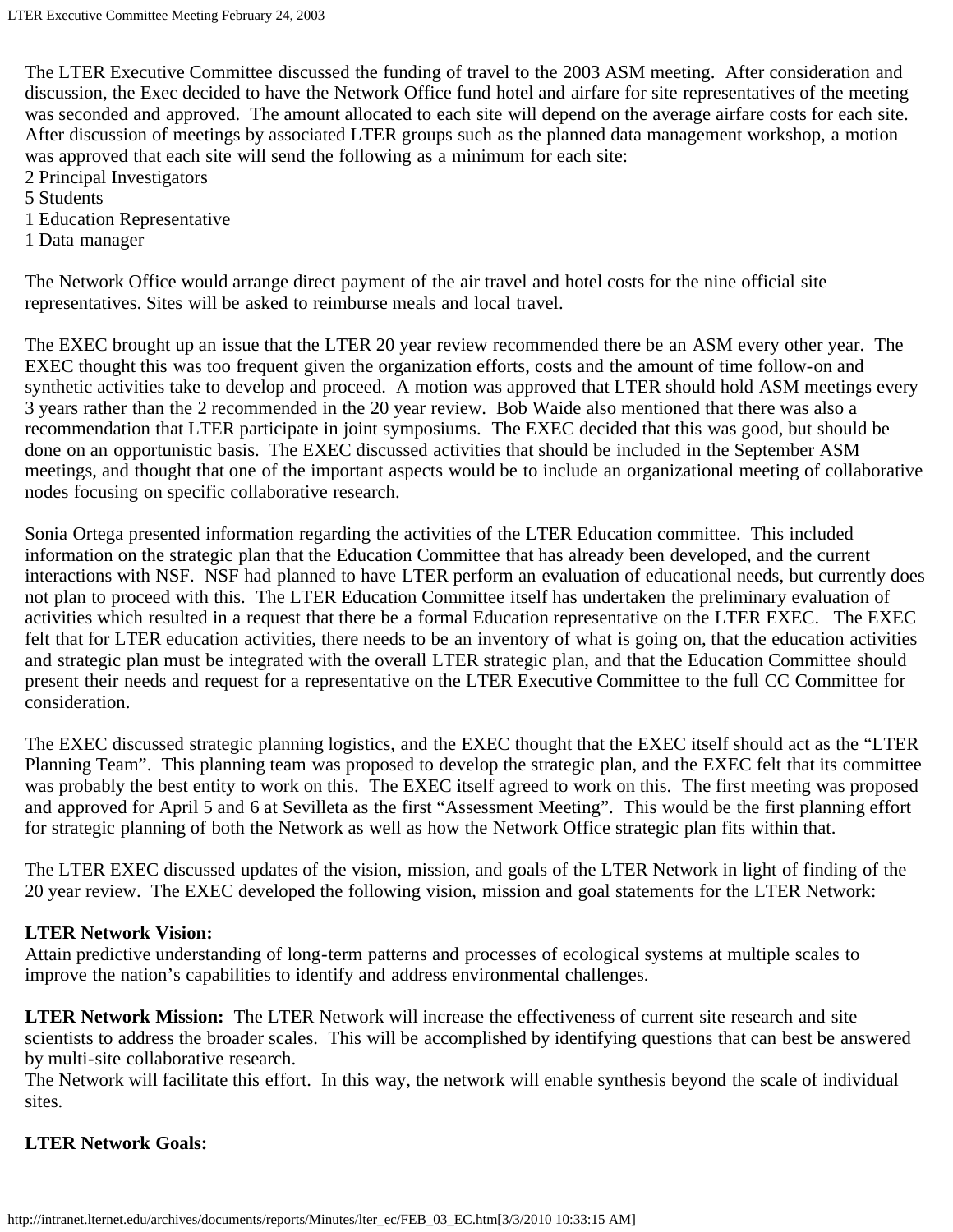The LTER Executive Committee discussed the funding of travel to the 2003 ASM meeting. After consideration and discussion, the Exec decided to have the Network Office fund hotel and airfare for site representatives of the meeting was seconded and approved. The amount allocated to each site will depend on the average airfare costs for each site. After discussion of meetings by associated LTER groups such as the planned data management workshop, a motion was approved that each site will send the following as a minimum for each site:

- 2 Principal Investigators
- 5 Students
- 1 Education Representative
- 1 Data manager

The Network Office would arrange direct payment of the air travel and hotel costs for the nine official site representatives. Sites will be asked to reimburse meals and local travel.

The EXEC brought up an issue that the LTER 20 year review recommended there be an ASM every other year. The EXEC thought this was too frequent given the organization efforts, costs and the amount of time follow-on and synthetic activities take to develop and proceed. A motion was approved that LTER should hold ASM meetings every 3 years rather than the 2 recommended in the 20 year review. Bob Waide also mentioned that there was also a recommendation that LTER participate in joint symposiums. The EXEC decided that this was good, but should be done on an opportunistic basis. The EXEC discussed activities that should be included in the September ASM meetings, and thought that one of the important aspects would be to include an organizational meeting of collaborative nodes focusing on specific collaborative research.

Sonia Ortega presented information regarding the activities of the LTER Education committee. This included information on the strategic plan that the Education Committee that has already been developed, and the current interactions with NSF. NSF had planned to have LTER perform an evaluation of educational needs, but currently does not plan to proceed with this. The LTER Education Committee itself has undertaken the preliminary evaluation of activities which resulted in a request that there be a formal Education representative on the LTER EXEC. The EXEC felt that for LTER education activities, there needs to be an inventory of what is going on, that the education activities and strategic plan must be integrated with the overall LTER strategic plan, and that the Education Committee should present their needs and request for a representative on the LTER Executive Committee to the full CC Committee for consideration.

The EXEC discussed strategic planning logistics, and the EXEC thought that the EXEC itself should act as the "LTER Planning Team". This planning team was proposed to develop the strategic plan, and the EXEC felt that its committee was probably the best entity to work on this. The EXEC itself agreed to work on this. The first meeting was proposed and approved for April 5 and 6 at Sevilleta as the first "Assessment Meeting". This would be the first planning effort for strategic planning of both the Network as well as how the Network Office strategic plan fits within that.

The LTER EXEC discussed updates of the vision, mission, and goals of the LTER Network in light of finding of the 20 year review. The EXEC developed the following vision, mission and goal statements for the LTER Network:

## **LTER Network Vision:**

Attain predictive understanding of long-term patterns and processes of ecological systems at multiple scales to improve the nation's capabilities to identify and address environmental challenges.

**LTER Network Mission:** The LTER Network will increase the effectiveness of current site research and site scientists to address the broader scales. This will be accomplished by identifying questions that can best be answered by multi-site collaborative research.

The Network will facilitate this effort. In this way, the network will enable synthesis beyond the scale of individual sites.

## **LTER Network Goals:**